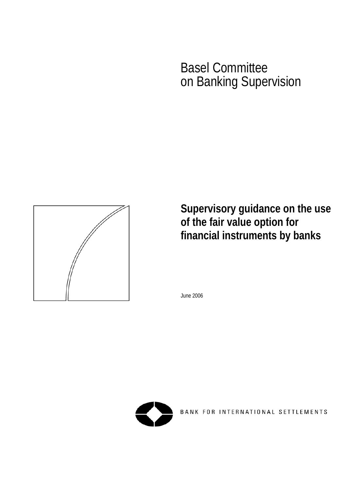# Basel Committee on Banking Supervision



**Supervisory guidance on the use of the fair value option for financial instruments by banks** 

June 2006



BANK FOR INTERNATIONAL SETTLEMENTS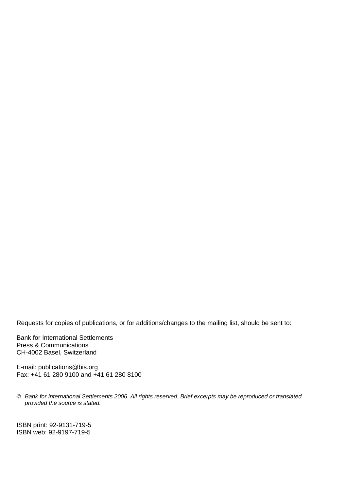Requests for copies of publications, or for additions/changes to the mailing list, should be sent to:

Bank for International Settlements Press & Communications CH-4002 Basel, Switzerland

E-mail: [publications@bis.org](mailto:publications@bis.org)  Fax: +41 61 280 9100 and +41 61 280 8100

© *Bank for International Settlements 2006. All rights reserved. Brief excerpts may be reproduced or translated provided the source is stated.* 

ISBN print: 92-9131-719-5 ISBN web: 92-9197-719-5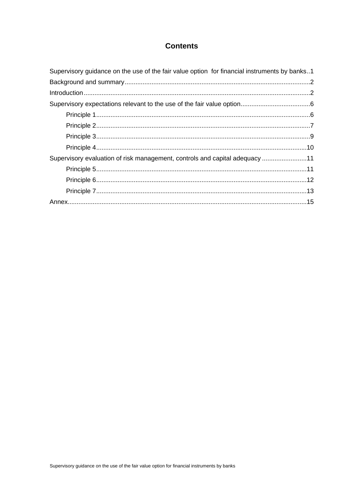## **Contents**

| Supervisory guidance on the use of the fair value option for financial instruments by banks1 |  |
|----------------------------------------------------------------------------------------------|--|
|                                                                                              |  |
|                                                                                              |  |
|                                                                                              |  |
|                                                                                              |  |
|                                                                                              |  |
|                                                                                              |  |
|                                                                                              |  |
| Supervisory evaluation of risk management, controls and capital adequacy 11                  |  |
|                                                                                              |  |
|                                                                                              |  |
|                                                                                              |  |
|                                                                                              |  |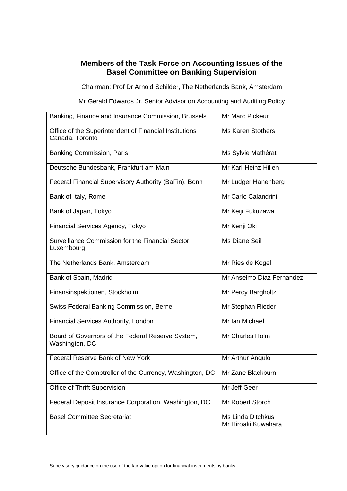## **Members of the Task Force on Accounting Issues of the Basel Committee on Banking Supervision**

Chairman: Prof Dr Arnold Schilder, The Netherlands Bank, Amsterdam

Mr Gerald Edwards Jr, Senior Advisor on Accounting and Auditing Policy

| Banking, Finance and Insurance Commission, Brussels                           | Mr Marc Pickeur                                 |
|-------------------------------------------------------------------------------|-------------------------------------------------|
| Office of the Superintendent of Financial Institutions<br>Canada, Toronto     | <b>Ms Karen Stothers</b>                        |
| <b>Banking Commission, Paris</b>                                              | Ms Sylvie Mathérat                              |
| Deutsche Bundesbank, Frankfurt am Main                                        | Mr Karl-Heinz Hillen                            |
| Federal Financial Supervisory Authority (BaFin), Bonn                         | Mr Ludger Hanenberg                             |
| Bank of Italy, Rome                                                           | Mr Carlo Calandrini                             |
| Bank of Japan, Tokyo                                                          | Mr Keiji Fukuzawa                               |
| Financial Services Agency, Tokyo                                              | Mr Kenji Oki                                    |
| Surveillance Commission for the Financial Sector,<br>Luxembourg               | <b>Ms Diane Seil</b>                            |
| The Netherlands Bank, Amsterdam                                               | Mr Ries de Kogel                                |
| Bank of Spain, Madrid                                                         | Mr Anselmo Diaz Fernandez                       |
| Finansinspektionen, Stockholm                                                 | Mr Percy Bargholtz                              |
| Swiss Federal Banking Commission, Berne                                       | Mr Stephan Rieder                               |
| <b>Financial Services Authority, London</b>                                   | Mr Ian Michael                                  |
| Board of Governors of the Federal Reserve System,<br>Washington, DC           | Mr Charles Holm                                 |
| Federal Reserve Bank of New York                                              | Mr Arthur Angulo                                |
| Office of the Comptroller of the Currency, Washington, DC   Mr Zane Blackburn |                                                 |
| Office of Thrift Supervision                                                  | Mr Jeff Geer                                    |
| Federal Deposit Insurance Corporation, Washington, DC                         | Mr Robert Storch                                |
| <b>Basel Committee Secretariat</b>                                            | <b>Ms Linda Ditchkus</b><br>Mr Hiroaki Kuwahara |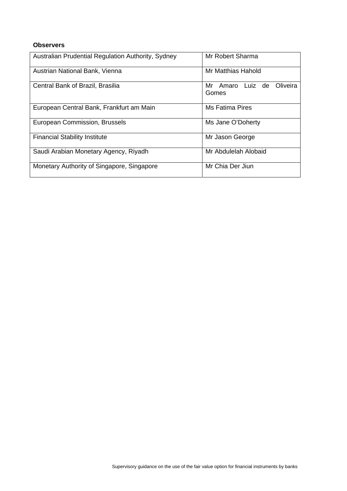#### **Observers**

| Australian Prudential Regulation Authority, Sydney | Mr Robert Sharma                      |
|----------------------------------------------------|---------------------------------------|
| Austrian National Bank, Vienna                     | Mr Matthias Hahold                    |
| Central Bank of Brazil, Brasilia                   | Mr Amaro Luiz de<br>Oliveira<br>Gomes |
| European Central Bank, Frankfurt am Main           | <b>Ms Fatima Pires</b>                |
| European Commission, Brussels                      | Ms Jane O'Doherty                     |
| <b>Financial Stability Institute</b>               | Mr Jason George                       |
| Saudi Arabian Monetary Agency, Riyadh              | Mr Abdulelah Alobaid                  |
| Monetary Authority of Singapore, Singapore         | Mr Chia Der Jiun                      |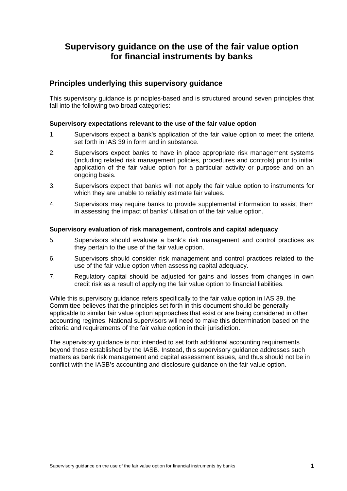# <span id="page-6-0"></span>**Supervisory guidance on the use of the fair value option for financial instruments by banks**

## **Principles underlying this supervisory guidance**

This supervisory guidance is principles-based and is structured around seven principles that fall into the following two broad categories:

#### **Supervisory expectations relevant to the use of the fair value option**

- 1. Supervisors expect a bank's application of the fair value option to meet the criteria set forth in IAS 39 in form and in substance.
- 2. Supervisors expect banks to have in place appropriate risk management systems (including related risk management policies, procedures and controls) prior to initial application of the fair value option for a particular activity or purpose and on an ongoing basis.
- 3. Supervisors expect that banks will not apply the fair value option to instruments for which they are unable to reliably estimate fair values.
- 4. Supervisors may require banks to provide supplemental information to assist them in assessing the impact of banks' utilisation of the fair value option.

#### **Supervisory evaluation of risk management, controls and capital adequacy**

- 5. Supervisors should evaluate a bank's risk management and control practices as they pertain to the use of the fair value option.
- 6. Supervisors should consider risk management and control practices related to the use of the fair value option when assessing capital adequacy.
- 7. Regulatory capital should be adjusted for gains and losses from changes in own credit risk as a result of applying the fair value option to financial liabilities.

While this supervisory guidance refers specifically to the fair value option in IAS 39, the Committee believes that the principles set forth in this document should be generally applicable to similar fair value option approaches that exist or are being considered in other accounting regimes. National supervisors will need to make this determination based on the criteria and requirements of the fair value option in their jurisdiction.

The supervisory guidance is not intended to set forth additional accounting requirements beyond those established by the IASB. Instead, this supervisory guidance addresses such matters as bank risk management and capital assessment issues, and thus should not be in conflict with the IASB's accounting and disclosure guidance on the fair value option.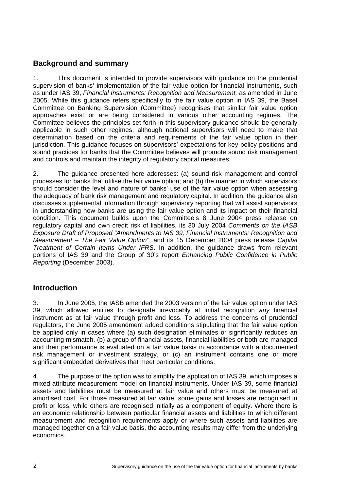## <span id="page-7-0"></span>**Background and summary**

1. This document is intended to provide supervisors with guidance on the prudential supervision of banks' implementation of the fair value option for financial instruments, such as under IAS 39, *Financial Instruments: Recognition and Measurement,* as amended in June 2005. While this guidance refers specifically to the fair value option in IAS 39, the Basel Committee on Banking Supervision (Committee) recognises that similar fair value option approaches exist or are being considered in various other accounting regimes. The Committee believes the principles set forth in this supervisory guidance should be generally applicable in such other regimes, although national supervisors will need to make that determination based on the criteria and requirements of the fair value option in their jurisdiction. This guidance focuses on supervisors' expectations for key policy positions and sound practices for banks that the Committee believes will promote sound risk management and controls and maintain the integrity of regulatory capital measures.

2. The guidance presented here addresses: (a) sound risk management and control processes for banks that utilise the fair value option; and (b) the manner in which supervisors should consider the level and nature of banks' use of the fair value option when assessing the adequacy of bank risk management and regulatory capital. In addition, the guidance also discusses supplemental information through supervisory reporting that will assist supervisors in understanding how banks are using the fair value option and its impact on their financial condition. This document builds upon the Committee's 8 June 2004 press release on regulatory capital and own credit risk of liabilities, its 30 July 2004 *Comments on the IASB Exposure Draft of Proposed "Amendments to IAS 39, Financial Instruments: Recognition and Measurement – The Fair Value Option"*, and its 15 December 2004 press release *Capital Treatment of Certain Items Under IFRS*. In addition, the guidance draws from relevant portions of IAS 39 and the Group of 30's report *Enhancing Public Confidence in Public Reporting* (December 2003).

## **Introduction**

3. In June 2005, the IASB amended the 2003 version of the fair value option under IAS 39, which allowed entities to designate irrevocably at initial recognition *any* financial instrument as at fair value through profit and loss. To address the concerns of prudential regulators, the June 2005 amendment added conditions stipulating that the fair value option be applied only in cases where (a) such designation eliminates or significantly reduces an accounting mismatch, (b) a group of financial assets, financial liabilities or both are managed and their performance is evaluated on a fair value basis in accordance with a documented risk management or investment strategy, or (c) an instrument contains one or more significant embedded derivatives that meet particular conditions.

4. The purpose of the option was to simplify the application of IAS 39, which imposes a mixed-attribute measurement model on financial instruments. Under IAS 39, some financial assets and liabilities must be measured at fair value and others must be measured at amortised cost. For those measured at fair value, some gains and losses are recognised in profit or loss, while others are recognised initially as a component of equity. Where there is an economic relationship between particular financial assets and liabilities to which different measurement and recognition requirements apply or where such assets and liabilities are managed together on a fair value basis, the accounting results may differ from the underlying economics.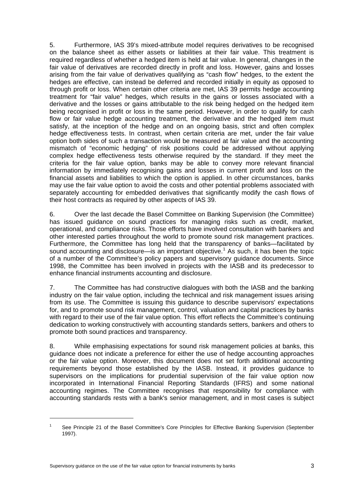5. Furthermore, IAS 39's mixed-attribute model requires derivatives to be recognised on the balance sheet as either assets or liabilities at their fair value. This treatment is required regardless of whether a hedged item is held at fair value. In general, changes in the fair value of derivatives are recorded directly in profit and loss. However, gains and losses arising from the fair value of derivatives qualifying as "cash flow" hedges, to the extent the hedges are effective, can instead be deferred and recorded initially in equity as opposed to through profit or loss. When certain other criteria are met, IAS 39 permits hedge accounting treatment for "fair value" hedges, which results in the gains or losses associated with a derivative and the losses or gains attributable to the risk being hedged on the hedged item being recognised in profit or loss in the same period. However, in order to qualify for cash flow or fair value hedge accounting treatment, the derivative and the hedged item must satisfy, at the inception of the hedge and on an ongoing basis, strict and often complex hedge effectiveness tests. In contrast, when certain criteria are met, under the fair value option both sides of such a transaction would be measured at fair value and the accounting mismatch of "economic hedging" of risk positions could be addressed without applying complex hedge effectiveness tests otherwise required by the standard. If they meet the criteria for the fair value option, banks may be able to convey more relevant financial information by immediately recognising gains and losses in current profit and loss on the financial assets and liabilities to which the option is applied. In other circumstances, banks may use the fair value option to avoid the costs and other potential problems associated with separately accounting for embedded derivatives that significantly modify the cash flows of their host contracts as required by other aspects of IAS 39.

6. Over the last decade the Basel Committee on Banking Supervision (the Committee) has issued guidance on sound practices for managing risks such as credit, market, operational, and compliance risks. Those efforts have involved consultation with bankers and other interested parties throughout the world to promote sound risk management practices. Furthermore, the Committee has long held that the transparency of banks—facilitated by sound accounting and disclosure—is an important objective.<sup>[1](#page-8-0)</sup> As such, it has been the topic of a number of the Committee's policy papers and supervisory guidance documents. Since 1998, the Committee has been involved in projects with the IASB and its predecessor to enhance financial instruments accounting and disclosure.

7. The Committee has had constructive dialogues with both the IASB and the banking industry on the fair value option, including the technical and risk management issues arising from its use. The Committee is issuing this guidance to describe supervisors' expectations for, and to promote sound risk management, control, valuation and capital practices by banks with regard to their use of the fair value option. This effort reflects the Committee's continuing dedication to working constructively with accounting standards setters, bankers and others to promote both sound practices and transparency.

8. While emphasising expectations for sound risk management policies at banks, this guidance does not indicate a preference for either the use of hedge accounting approaches or the fair value option. Moreover, this document does not set forth additional accounting requirements beyond those established by the IASB. Instead, it provides guidance to supervisors on the implications for prudential supervision of the fair value option now incorporated in International Financial Reporting Standards (IFRS) and some national accounting regimes. The Committee recognises that responsibility for compliance with accounting standards rests with a bank's senior management, and in most cases is subject

-

<span id="page-8-0"></span><sup>1</sup> See Principle 21 of the Basel Committee's Core Principles for Effective Banking Supervision (September 1997).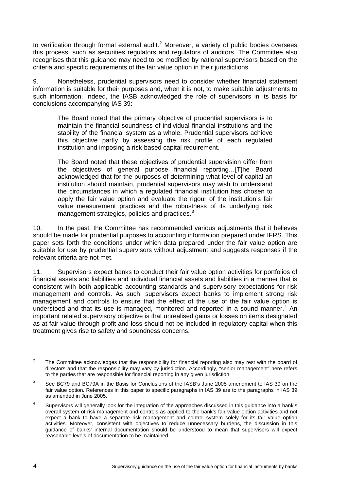to verification through formal external audit.<sup>[2](#page-9-0)</sup> Moreover, a variety of public bodies oversees this process, such as securities regulators and regulators of auditors. The Committee also recognises that this guidance may need to be modified by national supervisors based on the criteria and specific requirements of the fair value option in their jurisdictions

9. Nonetheless, prudential supervisors need to consider whether financial statement information is suitable for their purposes and, when it is not, to make suitable adjustments to such information. Indeed, the IASB acknowledged the role of supervisors in its basis for conclusions accompanying IAS 39:

The Board noted that the primary objective of prudential supervisors is to maintain the financial soundness of individual financial institutions and the stability of the financial system as a whole. Prudential supervisors achieve this objective partly by assessing the risk profile of each regulated institution and imposing a risk-based capital requirement.

The Board noted that these objectives of prudential supervision differ from the objectives of general purpose financial reporting…[T]he Board acknowledged that for the purposes of determining what level of capital an institution should maintain, prudential supervisors may wish to understand the circumstances in which a regulated financial institution has chosen to apply the fair value option and evaluate the rigour of the institution's fair value measurement practices and the robustness of its underlying risk management strategies, policies and practices.<sup>[3](#page-9-1)</sup>

10. In the past, the Committee has recommended various adjustments that it believes should be made for prudential purposes to accounting information prepared under IFRS. This paper sets forth the conditions under which data prepared under the fair value option are suitable for use by prudential supervisors without adjustment and suggests responses if the relevant criteria are not met.

11. Supervisors expect banks to conduct their fair value option activities for portfolios of financial assets and liabilities and individual financial assets and liabilities in a manner that is consistent with both applicable accounting standards and supervisory expectations for risk management and controls. As such, supervisors expect banks to implement strong risk management and controls to ensure that the effect of the use of the fair value option is understood and that its use is managed, monitored and reported in a sound manner.<sup>[4](#page-9-2)</sup> An important related supervisory objective is that unrealised gains or losses on items designated as at fair value through profit and loss should not be included in regulatory capital when this treatment gives rise to safety and soundness concerns.

<span id="page-9-0"></span><sup>&</sup>lt;sup>2</sup> The Committee acknowledges that the responsibility for financial reporting also may rest with the board of directors and that the responsibility may vary by jurisdiction. Accordingly, "senior management" here refers to the parties that are responsible for financial reporting in any given jurisdiction.

<span id="page-9-1"></span> $\overline{3}$  See BC79 and BC79A in the Basis for Conclusions of the IASB's June 2005 amendment to IAS 39 on the fair value option. References in this paper to specific paragraphs in IAS 39 are to the paragraphs in IAS 39 as amended in June 2005.

<span id="page-9-2"></span><sup>4</sup> Supervisors will generally look for the integration of the approaches discussed in this guidance into a bank's overall system of risk management and controls as applied to the bank's fair value option activities and not expect a bank to have a separate risk management and control system solely for its fair value option activities. Moreover, consistent with objectives to reduce unnecessary burdens, the discussion in this guidance of banks' internal documentation should be understood to mean that supervisors will expect reasonable levels of documentation to be maintained.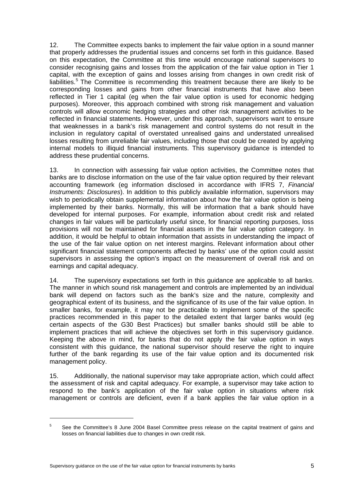12. The Committee expects banks to implement the fair value option in a sound manner that properly addresses the prudential issues and concerns set forth in this guidance. Based on this expectation, the Committee at this time would encourage national supervisors to consider recognising gains and losses from the application of the fair value option in Tier 1 capital, with the exception of gains and losses arising from changes in own credit risk of liabilities.<sup>[5](#page-10-0)</sup> The Committee is recommending this treatment because there are likely to be corresponding losses and gains from other financial instruments that have also been reflected in Tier 1 capital (eg when the fair value option is used for economic hedging purposes). Moreover, this approach combined with strong risk management and valuation controls will allow economic hedging strategies and other risk management activities to be reflected in financial statements. However, under this approach, supervisors want to ensure that weaknesses in a bank's risk management and control systems do not result in the inclusion in regulatory capital of overstated unrealised gains and understated unrealised losses resulting from unreliable fair values, including those that could be created by applying internal models to illiquid financial instruments. This supervisory guidance is intended to address these prudential concerns.

13. In connection with assessing fair value option activities, the Committee notes that banks are to disclose information on the use of the fair value option required by their relevant accounting framework (eg information disclosed in accordance with IFRS 7, *Financial Instruments: Disclosures*). In addition to this publicly available information, supervisors may wish to periodically obtain supplemental information about how the fair value option is being implemented by their banks. Normally, this will be information that a bank should have developed for internal purposes. For example, information about credit risk and related changes in fair values will be particularly useful since, for financial reporting purposes, loss provisions will not be maintained for financial assets in the fair value option category. In addition, it would be helpful to obtain information that assists in understanding the impact of the use of the fair value option on net interest margins. Relevant information about other significant financial statement components affected by banks' use of the option could assist supervisors in assessing the option's impact on the measurement of overall risk and on earnings and capital adequacy.

14. The supervisory expectations set forth in this guidance are applicable to all banks. The manner in which sound risk management and controls are implemented by an individual bank will depend on factors such as the bank's size and the nature, complexity and geographical extent of its business, and the significance of its use of the fair value option. In smaller banks, for example, it may not be practicable to implement some of the specific practices recommended in this paper to the detailed extent that larger banks would (eg certain aspects of the G30 Best Practices) but smaller banks should still be able to implement practices that will achieve the objectives set forth in this supervisory guidance. Keeping the above in mind, for banks that do not apply the fair value option in ways consistent with this guidance, the national supervisor should reserve the right to inquire further of the bank regarding its use of the fair value option and its documented risk management policy.

15. Additionally, the national supervisor may take appropriate action, which could affect the assessment of risk and capital adequacy. For example, a supervisor may take action to respond to the bank's application of the fair value option in situations where risk management or controls are deficient, even if a bank applies the fair value option in a

-

<span id="page-10-0"></span><sup>5</sup> See the Committee's 8 June 2004 Basel Committee press release on the capital treatment of gains and losses on financial liabilities due to changes in own credit risk.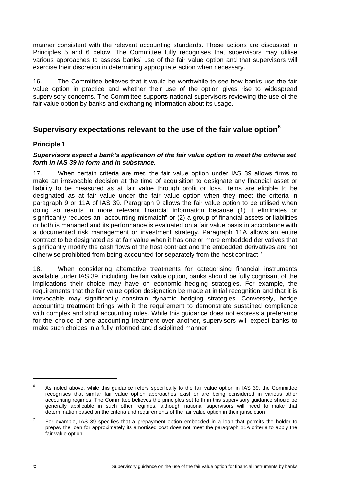<span id="page-11-0"></span>manner consistent with the relevant accounting standards. These actions are discussed in Principles 5 and 6 below. The Committee fully recognises that supervisors may utilise various approaches to assess banks' use of the fair value option and that supervisors will exercise their discretion in determining appropriate action when necessary.

16. The Committee believes that it would be worthwhile to see how banks use the fair value option in practice and whether their use of the option gives rise to widespread supervisory concerns. The Committee supports national supervisors reviewing the use of the fair value option by banks and exchanging information about its usage.

## **Supervisory expectations relevant to the use of the fair value option[6](#page-11-1)**

#### **Principle 1**

#### *Supervisors expect a bank's application of the fair value option to meet the criteria set forth in IAS 39 in form and in substance.*

17. When certain criteria are met, the fair value option under IAS 39 allows firms to make an irrevocable decision at the time of acquisition to designate any financial asset or liability to be measured as at fair value through profit or loss. Items are eligible to be designated as at fair value under the fair value option when they meet the criteria in paragraph 9 or 11A of IAS 39. Paragraph 9 allows the fair value option to be utilised when doing so results in more relevant financial information because (1) it eliminates or significantly reduces an "accounting mismatch" or (2) a group of financial assets or liabilities or both is managed and its performance is evaluated on a fair value basis in accordance with a documented risk management or investment strategy. Paragraph 11A allows an entire contract to be designated as at fair value when it has one or more embedded derivatives that significantly modify the cash flows of the host contract and the embedded derivatives are not otherwise prohibited from being accounted for separately from the host contract.<sup>[7](#page-11-2)</sup>

18. When considering alternative treatments for categorising financial instruments available under IAS 39, including the fair value option, banks should be fully cognisant of the implications their choice may have on economic hedging strategies. For example, the requirements that the fair value option designation be made at initial recognition and that it is irrevocable may significantly constrain dynamic hedging strategies. Conversely, hedge accounting treatment brings with it the requirement to demonstrate sustained compliance with complex and strict accounting rules. While this guidance does not express a preference for the choice of one accounting treatment over another, supervisors will expect banks to make such choices in a fully informed and disciplined manner.

<span id="page-11-1"></span><sup>6</sup> As noted above, while this guidance refers specifically to the fair value option in IAS 39, the Committee recognises that similar fair value option approaches exist or are being considered in various other accounting regimes. The Committee believes the principles set forth in this supervisory guidance should be generally applicable in such other regimes, although national supervisors will need to make that determination based on the criteria and requirements of the fair value option in their jurisdiction

<span id="page-11-2"></span> $7$  For example, IAS 39 specifies that a prepayment option embedded in a loan that permits the holder to prepay the loan for approximately its amortised cost does not meet the paragraph 11A criteria to apply the fair value option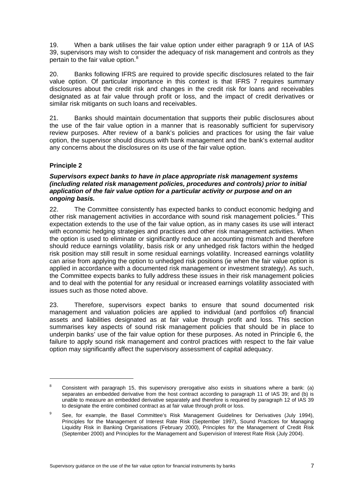<span id="page-12-0"></span>19. When a bank utilises the fair value option under either paragraph 9 or 11A of IAS 39, supervisors may wish to consider the adequacy of risk management and controls as they pertain to the fair value option.<sup>[8](#page-12-1)</sup>

20. Banks following IFRS are required to provide specific disclosures related to the fair value option. Of particular importance in this context is that IFRS 7 requires summary disclosures about the credit risk and changes in the credit risk for loans and receivables designated as at fair value through profit or loss, and the impact of credit derivatives or similar risk mitigants on such loans and receivables.

21. Banks should maintain documentation that supports their public disclosures about the use of the fair value option in a manner that is reasonably sufficient for supervisory review purposes. After review of a bank's policies and practices for using the fair value option, the supervisor should discuss with bank management and the bank's external auditor any concerns about the disclosures on its use of the fair value option.

#### **Principle 2**

1

#### *Supervisors expect banks to have in place appropriate risk management systems (including related risk management policies, procedures and controls) prior to initial application of the fair value option for a particular activity or purpose and on an ongoing basis.*

22. The Committee consistently has expected banks to conduct economic hedging and other risk management activities in accordance with sound risk management policies.<sup>[9](#page-12-2)</sup> This expectation extends to the use of the fair value option, as in many cases its use will interact with economic hedging strategies and practices and other risk management activities. When the option is used to eliminate or significantly reduce an accounting mismatch and therefore should reduce earnings volatility, basis risk or any unhedged risk factors within the hedged risk position may still result in some residual earnings volatility. Increased earnings volatility can arise from applying the option to unhedged risk positions (ie when the fair value option is applied in accordance with a documented risk management or investment strategy). As such, the Committee expects banks to fully address these issues in their risk management policies and to deal with the potential for any residual or increased earnings volatility associated with issues such as those noted above.

23. Therefore, supervisors expect banks to ensure that sound documented risk management and valuation policies are applied to individual (and portfolios of) financial assets and liabilities designated as at fair value through profit and loss. This section summarises key aspects of sound risk management policies that should be in place to underpin banks' use of the fair value option for these purposes. As noted in Principle 6, the failure to apply sound risk management and control practices with respect to the fair value option may significantly affect the supervisory assessment of capital adequacy.

<span id="page-12-1"></span><sup>8</sup> Consistent with paragraph 15, this supervisory prerogative also exists in situations where a bank: (a) separates an embedded derivative from the host contract according to paragraph 11 of IAS 39; and (b) is unable to measure an embedded derivative separately and therefore is required by paragraph 12 of IAS 39 to designate the entire combined contract as at fair value through profit or loss.

<span id="page-12-2"></span><sup>9</sup> See, for example, the Basel Committee's Risk Management Guidelines for Derivatives (July 1994), Principles for the Management of Interest Rate Risk (September 1997), Sound Practices for Managing Liquidity Risk in Banking Organisations (February 2000), Principles for the Management of Credit Risk (September 2000) and Principles for the Management and Supervision of Interest Rate Risk (July 2004).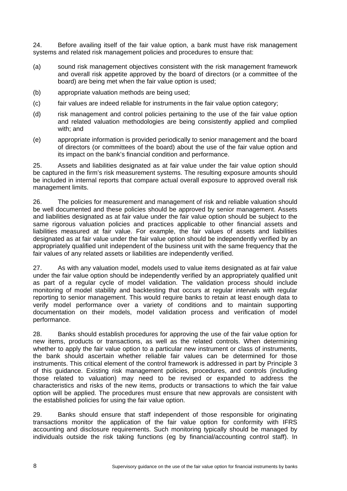24. Before availing itself of the fair value option, a bank must have risk management systems and related risk management policies and procedures to ensure that:

- (a) sound risk management objectives consistent with the risk management framework and overall risk appetite approved by the board of directors (or a committee of the board) are being met when the fair value option is used;
- (b) appropriate valuation methods are being used;
- (c) fair values are indeed reliable for instruments in the fair value option category;
- (d) risk management and control policies pertaining to the use of the fair value option and related valuation methodologies are being consistently applied and complied with: and
- (e) appropriate information is provided periodically to senior management and the board of directors (or committees of the board) about the use of the fair value option and its impact on the bank's financial condition and performance.

25. Assets and liabilities designated as at fair value under the fair value option should be captured in the firm's risk measurement systems. The resulting exposure amounts should be included in internal reports that compare actual overall exposure to approved overall risk management limits.

26. The policies for measurement and management of risk and reliable valuation should be well documented and these policies should be approved by senior management. Assets and liabilities designated as at fair value under the fair value option should be subject to the same rigorous valuation policies and practices applicable to other financial assets and liabilities measured at fair value. For example, the fair values of assets and liabilities designated as at fair value under the fair value option should be independently verified by an appropriately qualified unit independent of the business unit with the same frequency that the fair values of any related assets or liabilities are independently verified.

27. As with any valuation model, models used to value items designated as at fair value under the fair value option should be independently verified by an appropriately qualified unit as part of a regular cycle of model validation. The validation process should include monitoring of model stability and backtesting that occurs at regular intervals with regular reporting to senior management. This would require banks to retain at least enough data to verify model performance over a variety of conditions and to maintain supporting documentation on their models, model validation process and verification of model performance.

28. Banks should establish procedures for approving the use of the fair value option for new items, products or transactions, as well as the related controls. When determining whether to apply the fair value option to a particular new instrument or class of instruments, the bank should ascertain whether reliable fair values can be determined for those instruments. This critical element of the control framework is addressed in part by Principle 3 of this guidance. Existing risk management policies, procedures, and controls (including those related to valuation) may need to be revised or expanded to address the characteristics and risks of the new items, products or transactions to which the fair value option will be applied. The procedures must ensure that new approvals are consistent with the established policies for using the fair value option.

29. Banks should ensure that staff independent of those responsible for originating transactions monitor the application of the fair value option for conformity with IFRS accounting and disclosure requirements. Such monitoring typically should be managed by individuals outside the risk taking functions (eg by financial/accounting control staff). In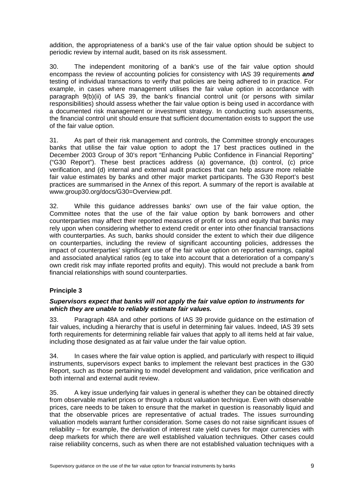<span id="page-14-0"></span>addition, the appropriateness of a bank's use of the fair value option should be subject to periodic review by internal audit, based on its risk assessment.

30. The independent monitoring of a bank's use of the fair value option should encompass the review of accounting policies for consistency with IAS 39 requirements *and*  testing of individual transactions to verify that policies are being adhered to in practice. For example, in cases where management utilises the fair value option in accordance with paragraph 9(b)(ii) of IAS 39, the bank's financial control unit (or persons with similar responsibilities) should assess whether the fair value option is being used in accordance with a documented risk management or investment strategy. In conducting such assessments, the financial control unit should ensure that sufficient documentation exists to support the use of the fair value option.

31. As part of their risk management and controls, the Committee strongly encourages banks that utilise the fair value option to adopt the 17 best practices outlined in the December 2003 Group of 30's report "Enhancing Public Confidence in Financial Reporting" ("G30 Report"). These best practices address (a) governance, (b) control, (c) price verification, and (d) internal and external audit practices that can help assure more reliable fair value estimates by banks and other major market participants. The G30 Report's best practices are summarised in the Annex of this report. A summary of the report is available at www.group30.org/docs/G30=Overview.pdf.

32. While this guidance addresses banks' own use of the fair value option, the Committee notes that the use of the fair value option by bank borrowers and other counterparties may affect their reported measures of profit or loss and equity that banks may rely upon when considering whether to extend credit or enter into other financial transactions with counterparties. As such, banks should consider the extent to which their due diligence on counterparties, including the review of significant accounting policies, addresses the impact of counterparties' significant use of the fair value option on reported earnings, capital and associated analytical ratios (eg to take into account that a deterioration of a company's own credit risk may inflate reported profits and equity). This would not preclude a bank from financial relationships with sound counterparties.

#### **Principle 3**

#### *Supervisors expect that banks will not apply the fair value option to instruments for which they are unable to reliably estimate fair values.*

33. Paragraph 48A and other portions of IAS 39 provide guidance on the estimation of fair values, including a hierarchy that is useful in determining fair values. Indeed, IAS 39 sets forth requirements for determining reliable fair values that apply to all items held at fair value, including those designated as at fair value under the fair value option.

34. In cases where the fair value option is applied, and particularly with respect to illiquid instruments, supervisors expect banks to implement the relevant best practices in the G30 Report, such as those pertaining to model development and validation, price verification and both internal and external audit review.

35. A key issue underlying fair values in general is whether they can be obtained directly from observable market prices or through a robust valuation technique. Even with observable prices, care needs to be taken to ensure that the market in question is reasonably liquid and that the observable prices are representative of actual trades. The issues surrounding valuation models warrant further consideration. Some cases do not raise significant issues of reliability – for example, the derivation of interest rate yield curves for major currencies with deep markets for which there are well established valuation techniques. Other cases could raise reliability concerns, such as when there are not established valuation techniques with a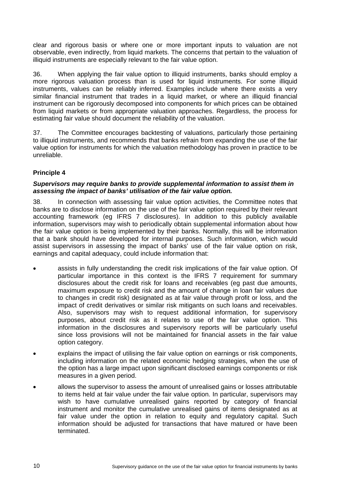<span id="page-15-0"></span>clear and rigorous basis or where one or more important inputs to valuation are not observable, even indirectly, from liquid markets. The concerns that pertain to the valuation of illiquid instruments are especially relevant to the fair value option.

36. When applying the fair value option to illiquid instruments, banks should employ a more rigorous valuation process than is used for liquid instruments. For some illiquid instruments, values can be reliably inferred. Examples include where there exists a very similar financial instrument that trades in a liquid market, or where an illiquid financial instrument can be rigorously decomposed into components for which prices can be obtained from liquid markets or from appropriate valuation approaches. Regardless, the process for estimating fair value should document the reliability of the valuation.

37. The Committee encourages backtesting of valuations, particularly those pertaining to illiquid instruments, and recommends that banks refrain from expanding the use of the fair value option for instruments for which the valuation methodology has proven in practice to be unreliable.

#### **Principle 4**

#### *Supervisors may require banks to provide supplemental information to assist them in assessing the impact of banks' utilisation of the fair value option.*

38. In connection with assessing fair value option activities, the Committee notes that banks are to disclose information on the use of the fair value option required by their relevant accounting framework (eg IFRS 7 disclosures). In addition to this publicly available information, supervisors may wish to periodically obtain supplemental information about how the fair value option is being implemented by their banks. Normally, this will be information that a bank should have developed for internal purposes. Such information, which would assist supervisors in assessing the impact of banks' use of the fair value option on risk, earnings and capital adequacy, could include information that:

- assists in fully understanding the credit risk implications of the fair value option. Of particular importance in this context is the IFRS 7 requirement for summary disclosures about the credit risk for loans and receivables (eg past due amounts, maximum exposure to credit risk and the amount of change in loan fair values due to changes in credit risk) designated as at fair value through profit or loss, and the impact of credit derivatives or similar risk mitigants on such loans and receivables. Also, supervisors may wish to request additional information, for supervisory purposes, about credit risk as it relates to use of the fair value option. This information in the disclosures and supervisory reports will be particularly useful since loss provisions will not be maintained for financial assets in the fair value option category.
- explains the impact of utilising the fair value option on earnings or risk components, including information on the related economic hedging strategies, when the use of the option has a large impact upon significant disclosed earnings components or risk measures in a given period.
- allows the supervisor to assess the amount of unrealised gains or losses attributable to items held at fair value under the fair value option. In particular, supervisors may wish to have cumulative unrealised gains reported by category of financial instrument and monitor the cumulative unrealised gains of items designated as at fair value under the option in relation to equity and regulatory capital. Such information should be adjusted for transactions that have matured or have been terminated.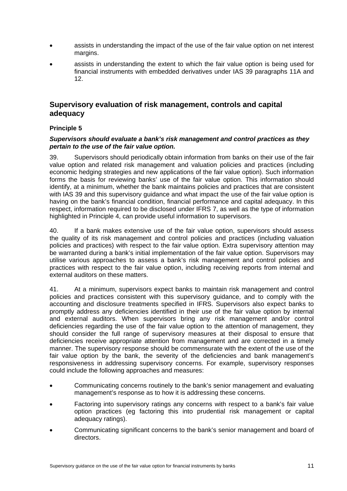- <span id="page-16-0"></span>• assists in understanding the impact of the use of the fair value option on net interest margins.
- assists in understanding the extent to which the fair value option is being used for financial instruments with embedded derivatives under IAS 39 paragraphs 11A and 12.

## **Supervisory evaluation of risk management, controls and capital adequacy**

#### **Principle 5**

#### *Supervisors should evaluate a bank's risk management and control practices as they pertain to the use of the fair value option.*

39. Supervisors should periodically obtain information from banks on their use of the fair value option and related risk management and valuation policies and practices (including economic hedging strategies and new applications of the fair value option). Such information forms the basis for reviewing banks' use of the fair value option. This information should identify, at a minimum, whether the bank maintains policies and practices that are consistent with IAS 39 and this supervisory guidance and what impact the use of the fair value option is having on the bank's financial condition, financial performance and capital adequacy. In this respect, information required to be disclosed under IFRS 7, as well as the type of information highlighted in Principle 4, can provide useful information to supervisors.

40. If a bank makes extensive use of the fair value option, supervisors should assess the quality of its risk management and control policies and practices (including valuation policies and practices) with respect to the fair value option. Extra supervisory attention may be warranted during a bank's initial implementation of the fair value option. Supervisors may utilise various approaches to assess a bank's risk management and control policies and practices with respect to the fair value option, including receiving reports from internal and external auditors on these matters.

41. At a minimum, supervisors expect banks to maintain risk management and control policies and practices consistent with this supervisory guidance, and to comply with the accounting and disclosure treatments specified in IFRS. Supervisors also expect banks to promptly address any deficiencies identified in their use of the fair value option by internal and external auditors. When supervisors bring any risk management and/or control deficiencies regarding the use of the fair value option to the attention of management, they should consider the full range of supervisory measures at their disposal to ensure that deficiencies receive appropriate attention from management and are corrected in a timely manner. The supervisory response should be commensurate with the extent of the use of the fair value option by the bank, the severity of the deficiencies and bank management's responsiveness in addressing supervisory concerns. For example, supervisory responses could include the following approaches and measures:

- Communicating concerns routinely to the bank's senior management and evaluating management's response as to how it is addressing these concerns.
- Factoring into supervisory ratings any concerns with respect to a bank's fair value option practices (eg factoring this into prudential risk management or capital adequacy ratings).
- Communicating significant concerns to the bank's senior management and board of directors.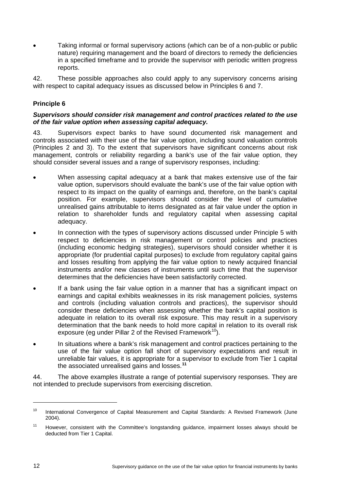<span id="page-17-0"></span>• Taking informal or formal supervisory actions (which can be of a non-public or public nature) requiring management and the board of directors to remedy the deficiencies in a specified timeframe and to provide the supervisor with periodic written progress reports.

42. These possible approaches also could apply to any supervisory concerns arising with respect to capital adequacy issues as discussed below in Principles 6 and 7.

#### **Principle 6**

#### *Supervisors should consider risk management and control practices related to the use of the fair value option when assessing capital adequacy.*

43. Supervisors expect banks to have sound documented risk management and controls associated with their use of the fair value option, including sound valuation controls (Principles 2 and 3). To the extent that supervisors have significant concerns about risk management, controls or reliability regarding a bank's use of the fair value option, they should consider several issues and a range of supervisory responses, including:

- When assessing capital adequacy at a bank that makes extensive use of the fair value option, supervisors should evaluate the bank's use of the fair value option with respect to its impact on the quality of earnings and, therefore, on the bank's capital position. For example, supervisors should consider the level of cumulative unrealised gains attributable to items designated as at fair value under the option in relation to shareholder funds and regulatory capital when assessing capital adequacy.
- In connection with the types of supervisory actions discussed under Principle 5 with respect to deficiencies in risk management or control policies and practices (including economic hedging strategies), supervisors should consider whether it is appropriate (for prudential capital purposes) to exclude from regulatory capital gains and losses resulting from applying the fair value option to newly acquired financial instruments and/or new classes of instruments until such time that the supervisor determines that the deficiencies have been satisfactorily corrected.
- If a bank using the fair value option in a manner that has a significant impact on earnings and capital exhibits weaknesses in its risk management policies, systems and controls (including valuation controls and practices), the supervisor should consider these deficiencies when assessing whether the bank's capital position is adequate in relation to its overall risk exposure. This may result in a supervisory determination that the bank needs to hold more capital in relation to its overall risk exposure (eq under Pillar 2 of the Revised Framework<sup>[1](#page-17-1)0</sup>).
- In situations where a bank's risk management and control practices pertaining to the use of the fair value option fall short of supervisory expectations and result in unreliable fair values, it is appropriate for a supervisor to exclude from Tier 1 capital the associated unrealised gains and losses.**[1](#page-17-2)1**

44. The above examples illustrate a range of potential supervisory responses. They are not intended to preclude supervisors from exercising discretion.

<span id="page-17-1"></span><sup>&</sup>lt;sup>10</sup> International Convergence of Capital Measurement and Capital Standards: A Revised Framework (June 2004).

<span id="page-17-2"></span><sup>&</sup>lt;sup>11</sup> However, consistent with the Committee's longstanding guidance, impairment losses always should be deducted from Tier 1 Capital.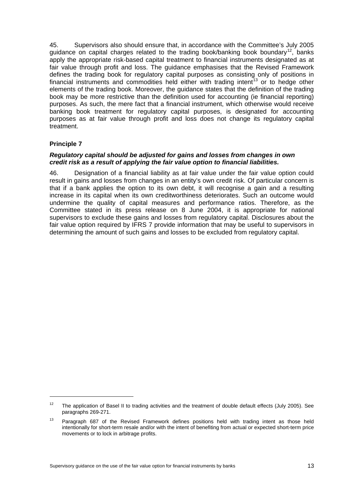<span id="page-18-0"></span>45. Supervisors also should ensure that, in accordance with the Committee's July 2005 guidance on capital charges related to the trading book/banking book boundary<sup>[1](#page-18-1)2</sup>, banks apply the appropriate risk-based capital treatment to financial instruments designated as at fair value through profit and loss. The guidance emphasises that the Revised Framework defines the trading book for regulatory capital purposes as consisting only of positions in financial instruments and commodities held either with trading intent<sup>[1](#page-18-2)3</sup> or to hedge other elements of the trading book. Moreover, the guidance states that the definition of the trading book may be more restrictive than the definition used for accounting (ie financial reporting) purposes. As such, the mere fact that a financial instrument, which otherwise would receive banking book treatment for regulatory capital purposes, is designated for accounting purposes as at fair value through profit and loss does not change its regulatory capital treatment.

#### **Principle 7**

-

#### *Regulatory capital should be adjusted for gains and losses from changes in own credit risk as a result of applying the fair value option to financial liabilities.*

46. Designation of a financial liability as at fair value under the fair value option could result in gains and losses from changes in an entity's own credit risk. Of particular concern is that if a bank applies the option to its own debt, it will recognise a gain and a resulting increase in its capital when its own creditworthiness deteriorates. Such an outcome would undermine the quality of capital measures and performance ratios. Therefore, as the Committee stated in its press release on 8 June 2004, it is appropriate for national supervisors to exclude these gains and losses from regulatory capital. Disclosures about the fair value option required by IFRS 7 provide information that may be useful to supervisors in determining the amount of such gains and losses to be excluded from regulatory capital.

<span id="page-18-1"></span><sup>&</sup>lt;sup>12</sup> The application of Basel II to trading activities and the treatment of double default effects (July 2005). See paragraphs 269-271.

<span id="page-18-2"></span><sup>&</sup>lt;sup>13</sup> Paragraph 687 of the Revised Framework defines positions held with trading intent as those held intentionally for short-term resale and/or with the intent of benefiting from actual or expected short-term price movements or to lock in arbitrage profits.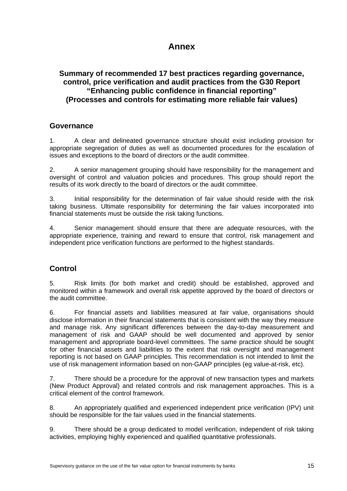## **Annex**

## **Summary of recommended 17 best practices regarding governance, control, price verification and audit practices from the G30 Report "Enhancing public confidence in financial reporting" (Processes and controls for estimating more reliable fair values)**

## **Governance**

1. A clear and delineated governance structure should exist including provision for appropriate segregation of duties as well as documented procedures for the escalation of issues and exceptions to the board of directors or the audit committee.

2. A senior management grouping should have responsibility for the management and oversight of control and valuation policies and procedures. This group should report the results of its work directly to the board of directors or the audit committee.

3. Initial responsibility for the determination of fair value should reside with the risk taking business. Ultimate responsibility for determining the fair values incorporated into financial statements must be outside the risk taking functions.

4. Senior management should ensure that there are adequate resources, with the appropriate experience, training and reward to ensure that control, risk management and independent price verification functions are performed to the highest standards.

## **Control**

5. Risk limits (for both market and credit) should be established, approved and monitored within a framework and overall risk appetite approved by the board of directors or the audit committee.

6. For financial assets and liabilities measured at fair value, organisations should disclose information in their financial statements that is consistent with the way they measure and manage risk. Any significant differences between the day-to-day measurement and management of risk and GAAP should be well documented and approved by senior management and appropriate board-level committees. The same practice should be sought for other financial assets and liabilities to the extent that risk oversight and management reporting is not based on GAAP principles. This recommendation is not intended to limit the use of risk management information based on non-GAAP principles (eg value-at-risk, etc).

7. There should be a procedure for the approval of new transaction types and markets (New Product Approval) and related controls and risk management approaches. This is a critical element of the control framework.

8. An appropriately qualified and experienced independent price verification (IPV) unit should be responsible for the fair values used in the financial statements.

9. There should be a group dedicated to model verification, independent of risk taking activities, employing highly experienced and qualified quantitative professionals.